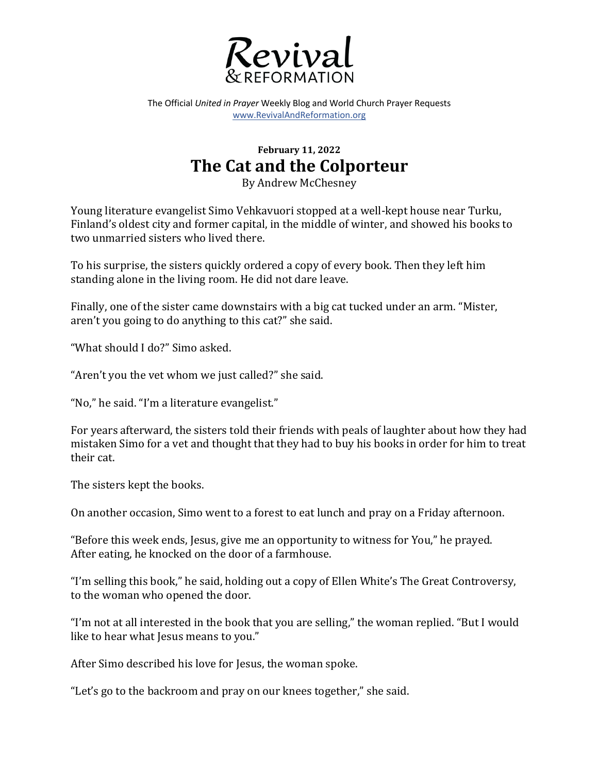

The Official *United in Prayer* Weekly Blog and World Church Prayer Requests www.RevivalAndReformation.org

## **February 11, 2022 The Cat and the Colporteur**

By Andrew McChesney

Young literature evangelist Simo Vehkavuori stopped at a well-kept house near Turku, Finland's oldest city and former capital, in the middle of winter, and showed his books to two unmarried sisters who lived there.

To his surprise, the sisters quickly ordered a copy of every book. Then they left him standing alone in the living room. He did not dare leave.

Finally, one of the sister came downstairs with a big cat tucked under an arm. "Mister, aren't you going to do anything to this cat?" she said.

"What should I do?" Simo asked.

"Aren't you the vet whom we just called?" she said.

"No," he said. "I'm a literature evangelist."

For years afterward, the sisters told their friends with peals of laughter about how they had mistaken Simo for a vet and thought that they had to buy his books in order for him to treat their cat.

The sisters kept the books.

On another occasion, Simo went to a forest to eat lunch and pray on a Friday afternoon.

"Before this week ends, Jesus, give me an opportunity to witness for You," he prayed. After eating, he knocked on the door of a farmhouse.

"I'm selling this book," he said, holding out a copy of Ellen White's The Great Controversy, to the woman who opened the door.

"I'm not at all interested in the book that you are selling," the woman replied. "But I would like to hear what Jesus means to you."

After Simo described his love for Jesus, the woman spoke.

"Let's go to the backroom and pray on our knees together," she said.